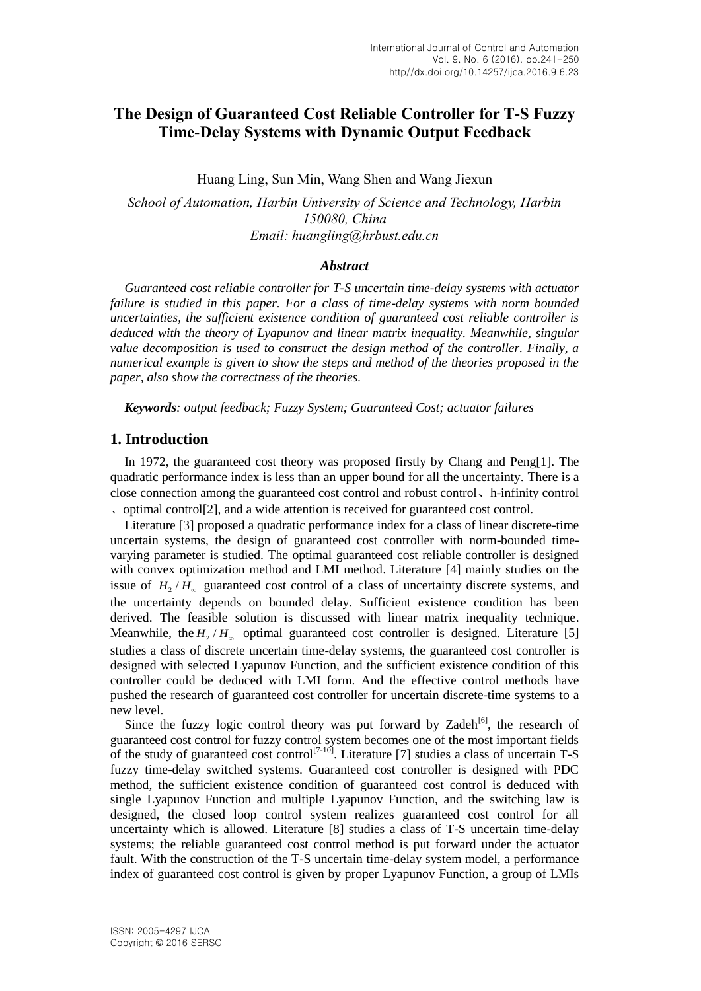# **The Design of Guaranteed Cost Reliable Controller for T-S Fuzzy Time-Delay Systems with Dynamic Output Feedback**

Huang Ling, Sun Min, Wang Shen and Wang Jiexun

*School of Automation, Harbin University of Science and Technology, Harbin 150080, China Email: huangling@hrbust.edu.cn*

#### *Abstract*

*Guaranteed cost reliable controller for T-S uncertain time-delay systems with actuator failure is studied in this paper. For a class of time-delay systems with norm bounded uncertainties, the sufficient existence condition of guaranteed cost reliable controller is deduced with the theory of Lyapunov and linear matrix inequality. Meanwhile, singular value decomposition is used to construct the design method of the controller. Finally, a numerical example is given to show the steps and method of the theories proposed in the paper, also show the correctness of the theories.*

*Keywords: output feedback; Fuzzy System; Guaranteed Cost; actuator failures* 

### **1. Introduction**

In 1972, the guaranteed cost theory was proposed firstly by Chang and Peng[1]. The quadratic performance index is less than an upper bound for all the uncertainty. There is a close connection among the guaranteed cost control and robust control、h-infinity control 、[optimal control\[](javascript:showjdsw()2], and a wide attention is received for guaranteed cost control.

Literature [3] proposed a quadratic performance index for a class of linear discrete-time uncertain systems, the design of guaranteed cost controller with norm-bounded timevarying parameter is studied. The optimal guaranteed cost reliable controller is designed with convex optimization method and LMI method. Literature [4] mainly studies on the issue of  $H_2/H_{\infty}$  guaranteed cost control of a class of uncertainty discrete systems, and the uncertainty depends on bounded delay. Sufficient existence condition has been derived. The feasible solution is discussed with linear matrix inequality technique. Meanwhile, the  $H_2/H_{\infty}$  optimal guaranteed cost controller is designed. Literature [5] studies a class of discrete uncertain time-delay systems, the guaranteed cost controller is designed with selected Lyapunov Function, and the sufficient existence condition of this controller could be deduced with LMI form. And the effective control methods have pushed the research of guaranteed cost controller for uncertain discrete-time systems to a new level.

Since the fuzzy logic control theory was put forward by Zadeh $^{[6]}$ , the research of guaranteed cost control for fuzzy control system becomes one of the most important fields of the study of guaranteed cost control<sup>[7-10]</sup>. Literature [7] studies a class of uncertain T-S fuzzy time-delay switched systems. Guaranteed cost controller is designed with PDC method, the sufficient existence condition of guaranteed cost control is deduced with single Lyapunov Function and multiple Lyapunov Function, and the switching law is designed, the closed loop control system realizes guaranteed cost control for all uncertainty which is allowed. Literature [8] studies a class of T-S uncertain time-delay systems; the reliable guaranteed cost control method is put forward under the actuator fault. With the construction of the T-S uncertain time-delay system model, a performance index of guaranteed cost control is given by proper Lyapunov Function, a group of LMIs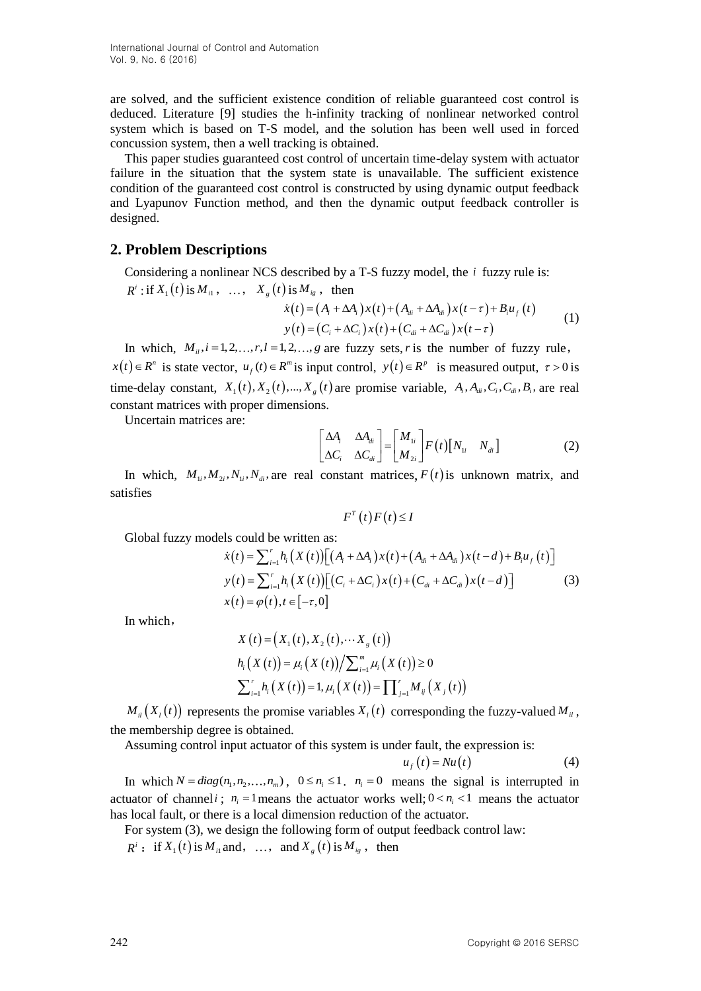are solved, and the sufficient existence condition of reliable guaranteed cost control is deduced. Literature [9] studies the h-infinity tracking of nonlinear networked control system which is based on T-S model, and the solution has been well used in forced concussion system, then a well tracking is obtained.

This paper studies guaranteed cost control of uncertain time-delay system with actuator failure in the situation that the system state is unavailable. The sufficient existence condition of the guaranteed cost control is constructed by using dynamic output feedback and Lyapunov Function method, and then the dynamic output feedback controller is designed.

# **2. Problem Descriptions**

Considering a nonlinear NCS described by a T-S fuzzy model, the *i* fuzzy rule is:  $R^i$ : if  $X_1(t)$  is  $M_{i1}$ , ...,  $X_g(t)$  is  $M_{ig}$ , then

t) is 
$$
M_{ig}
$$
, then  
\n
$$
\dot{x}(t) = (A_i + \Delta A_i) x(t) + (A_{di} + \Delta A_{di}) x(t - \tau) + B_i u_f(t)
$$
\n
$$
y(t) = (C_i + \Delta C_i) x(t) + (C_{di} + \Delta C_{di}) x(t - \tau)
$$
\n(1)

In which,  $M_{ii}$ ,  $i = 1, 2, ..., r$ ,  $l = 1, 2, ..., g$  are fuzzy sets, r is the number of fuzzy rule,  $x(t) \in R^n$  is state vector,  $u_f(t) \in R^m$  is input control,  $y(t) \in R^p$  is measured output,  $\tau > 0$  is time-delay constant,  $X_1(t), X_2(t), ..., X_g(t)$  are promise variable,  $A_i, A_{di}, C_i, C_{di}, B_i$ , are real constant matrices with proper dimensions.

Uncertain matrices are:

$$
\begin{bmatrix} \Delta A_i & \Delta A_{di} \\ \Delta C_i & \Delta C_{di} \end{bmatrix} = \begin{bmatrix} M_{1i} \\ M_{2i} \end{bmatrix} F(t) \begin{bmatrix} N_{1i} & N_{di} \end{bmatrix}
$$
 (2)

In which,  $M_{1i}$ ,  $M_{2i}$ ,  $N_{1i}$ ,  $N_{di}$ , are real constant matrices,  $F(t)$  is unknown matrix, and satisfies

 $F^{T}(t) F(t) \leq I$ 

Global fuzzy models could be written as:

els could be written as:  
\n
$$
\dot{x}(t) = \sum_{i=1}^{r} h_i (X(t)) [(A_i + \Delta A_i) x(t) + (A_{di} + \Delta A_{di}) x(t - d) + B_i u_f (t)]
$$
\n
$$
y(t) = \sum_{i=1}^{r} h_i (X(t)) [(C_i + \Delta C_i) x(t) + (C_{di} + \Delta C_{di}) x(t - d)]
$$
\n
$$
x(t) = \varphi(t), t \in [-\tau, 0]
$$
\n(3)

In which,

$$
X(t) = (X_1(t), X_2(t), \cdots X_g(t))
$$
  
\n
$$
h_i(X(t)) = \mu_i(X(t))/\sum_{i=1}^m \mu_i(X(t)) \ge 0
$$
  
\n
$$
\sum_{i=1}^r h_i(X(t)) = 1, \mu_i(X(t)) = \prod_{j=1}^r M_{ij}(X_j(t))
$$

 $M_{il}(X_i(t))$  represents the promise variables  $X_i(t)$  corresponding the fuzzy-valued  $M_{il}$ , the membership degree is obtained.

Assuming control input actuator of this system is under fault, the expression is:

$$
u_f(t) = Nu(t) \tag{4}
$$

In which  $N = diag(n_1, n_2, ..., n_m)$ ,  $0 \le n_i \le 1$ .  $n_i = 0$  means the signal is interrupted in actuator of channel *i*;  $n_i = 1$  means the actuator works well;  $0 \lt n_i \lt 1$  means the actuator has local fault, or there is a local dimension reduction of the actuator.

For system (3), we design the following form of output feedback control law:

 $R^i$ : if  $X_1(t)$  is  $M_{i1}$  and, ..., and  $X_g(t)$  is  $M_{ig}$ , then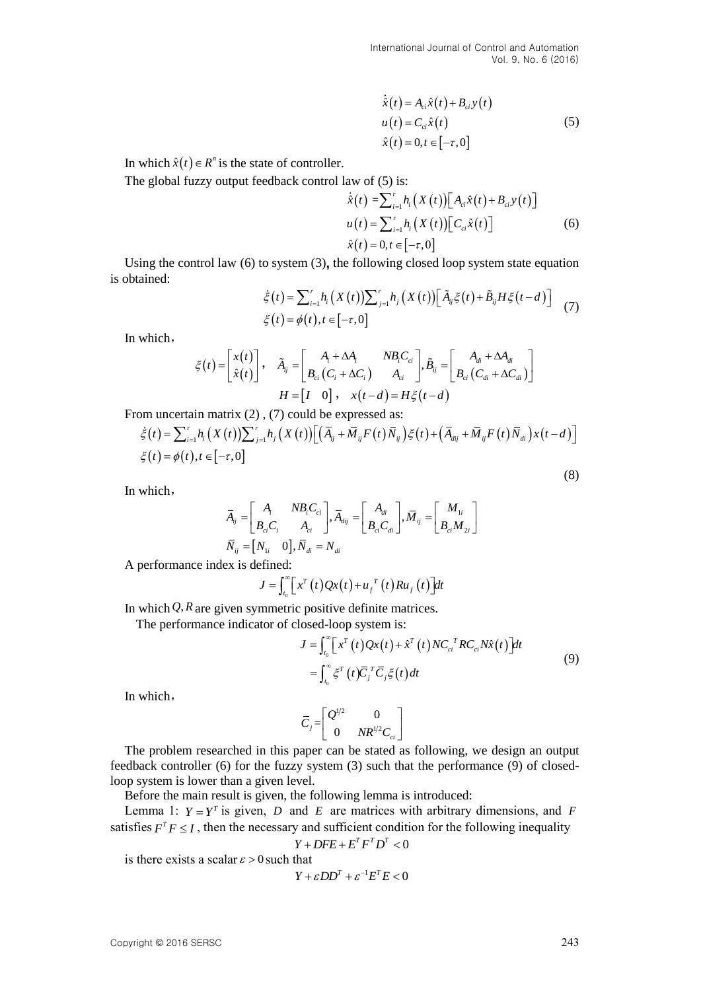$$
\dot{\hat{x}}(t) = A_{ci}\hat{x}(t) + B_{ci}y(t)
$$
\n
$$
u(t) = C_{ci}\hat{x}(t)
$$
\n
$$
\hat{x}(t) = 0, t \in [-\tau, 0]
$$
\n(5)

In which  $\hat{x}(t) \in R^n$  is the state of controller.

The global fuzzy output feedback control law of (5) is:

$$
\dot{\hat{x}}(t) = \sum_{i=1}^{r} h_i (X(t)) [A_{ci}\hat{x}(t) + B_{ci}y(t)]
$$
  
 
$$
u(t) = \sum_{i=1}^{r} h_i (X(t)) [C_{ci}\hat{x}(t)]
$$
  
 
$$
\hat{x}(t) = 0, t \in [-\tau, 0]
$$
 (6)

Using the control law (6) to system (3), the following closed loop system state equation obtained:<br>  $\dot{\xi}(t) = \sum_{i=1}^{r} h_i(X(t)) \sum_{j=1}^{r} h_j(X(t)) [\tilde{A}_{ij}\xi(t) + \tilde{B}_{ij}H\xi(t-d)]$  (7) is obtained:  $\frac{r}{h} \left( \frac{\mathbf{Y}(t)}{\mathbf{Y}(t)} \right)$ 

$$
\dot{\xi}(t) = \sum_{i=1}^{r} h_i(X(t)) \sum_{j=1}^{r} h_j(X(t)) \left[ \tilde{A}_{ij} \xi(t) + \tilde{B}_{ij} H \xi(t - d) \right]
$$
  

$$
\xi(t) = \phi(t), t \in [-\tau, 0]
$$
 (7)

In which,

$$
\xi(t) = \begin{bmatrix} x(t) \\ \hat{x}(t) \end{bmatrix}, \quad \tilde{A}_{ij} = \begin{bmatrix} A_i + \Delta A_i & NB_i C_{ci} \\ B_{ci} (C_i + \Delta C_i) & A_{ci} \end{bmatrix}, \tilde{B}_{ij} = \begin{bmatrix} A_{di} + \Delta A_{di} \\ B_{ci} (C_{di} + \Delta C_{di}) \end{bmatrix}
$$
  
\n
$$
H = \begin{bmatrix} I & 0 \end{bmatrix}, \quad x(t - d) = H\xi(t - d)
$$
  
\n
$$
\sum_{i=1}^r h_i (X(t)) \sum_{j=1}^r h_j (X(t)) \Big[ \Big( \overline{A}_{ij} + \overline{M}_{ij} F(t) \overline{N}_{ij} \Big) \xi(t) + \Big( \overline{A}_{dij} + \overline{M}_{ij} F(t) \overline{N}_{di} \Big) x(t - d)
$$
  
\n
$$
A(t), t \in [0, 1]
$$

$$
H = \begin{bmatrix} I & 0 \end{bmatrix}, \quad x(t-d) = H\xi(t-d)
$$
  
From uncertain matrix (2), (7) could be expressed as:  

$$
\dot{\xi}(t) = \sum_{i=1}^{r} h_i (X(t)) \sum_{j=1}^{r} h_j (X(t)) \Big[ \Big( \overline{A}_{ij} + \overline{M}_{ij} F(t) \overline{N}_{ij} \Big) \xi(t) + \Big( \overline{A}_{dij} + \overline{M}_{ij} F(t) \overline{N}_{di} \Big) x(t-d) \Big]
$$

$$
\xi(t) = \phi(t), t \in [-\tau, 0]
$$
(8)

In which,

$$
\overline{A}_{ij} = \begin{bmatrix} A_i & NB_iC_{ci} \\ B_{ci}C_i & A_{ci} \end{bmatrix}, \overline{A}_{dij} = \begin{bmatrix} A_{di} \\ B_{ci}C_{di} \end{bmatrix}, \overline{M}_{ij} = \begin{bmatrix} M_{1i} \\ B_{ci}M_{2i} \end{bmatrix}
$$

$$
\overline{N}_{ij} = \begin{bmatrix} N_{1i} & 0 \end{bmatrix}, \overline{N}_{di} = N_{di}
$$

A performance index is defined:

$$
J = \int_{t_0}^{\infty} \left[ x^T(t) Qx(t) + u_f{}^T(t) R u_f(t) \right] dt
$$

In which  $Q$ ,  $R$  are given symmetric positive definite matrices.

The performance indicator of closed-loop system is:  
\n
$$
J = \int_{t_0}^{\infty} \left[ x^T(t) Qx(t) + \hat{x}^T(t) N C_{ci}^T R C_{ci} N \hat{x}(t) \right] dt
$$
\n
$$
= \int_{t_0}^{\infty} \xi^T(t) \overline{C}_j^T \overline{C}_j \xi(t) dt
$$
\n(9)

In which,

$$
\overline{C}_j = \begin{bmatrix} Q^{1/2} & 0 \\ 0 & NR^{1/2}C_{ci} \end{bmatrix}
$$

The problem researched in this paper can be stated as following, we design an output feedback controller (6) for the fuzzy system (3) such that the performance (9) of closedloop system is lower than a given level.

Before the main result is given, the following lemma is introduced:

Lemma 1:  $Y = Y^T$  is given, *D* and *E* are matrices with arbitrary dimensions, and *F* satisfies  $F^T F \leq I$ , then the necessary and sufficient condition for the following inequality

$$
Y + DFE + E^T F^T D^T < 0
$$

is there exists a scalar  $\varepsilon > 0$  such that

$$
Y+\varepsilon DD^{T}+\varepsilon^{-1}E^{T}E<0
$$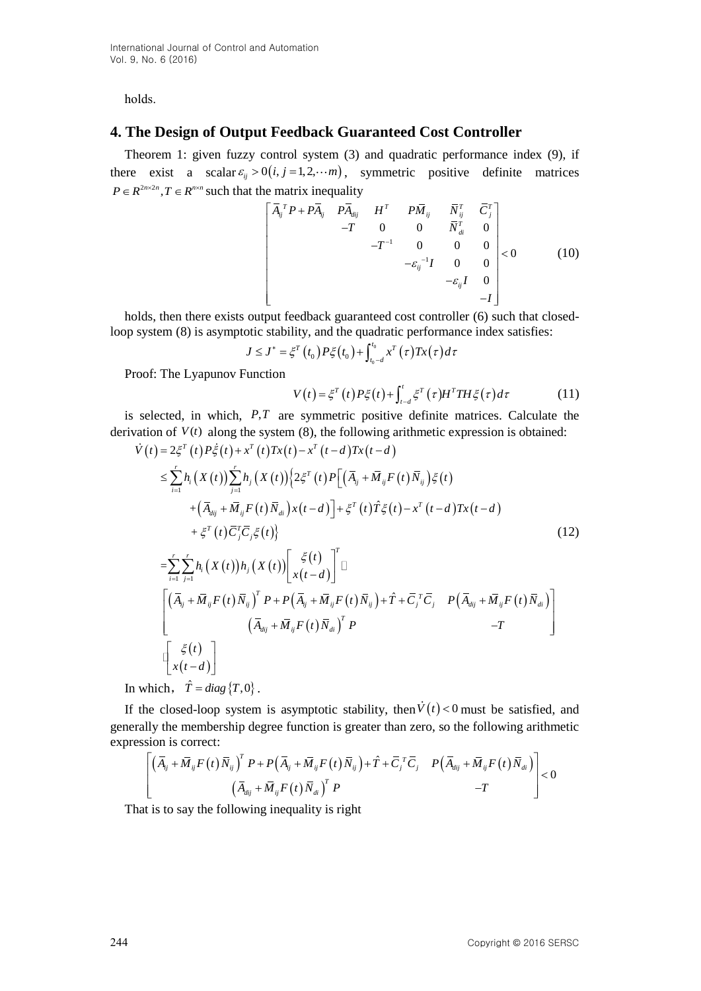holds.

# **4. The Design of Output Feedback Guaranteed Cost Controller**

Theorem 1: given fuzzy control system (3) and quadratic performance index (9), if there exist a scalar  $\varepsilon_{ij} > 0$  (*i*, *j* = 1,2, *i* m, symmetric positive definite matrices  $P \in R^{2n \times 2n}$ ,  $T \in R^{n \times n}$  such that the matrix inequality<br> $\begin{bmatrix} \overline{A}_{ij}^T P + P \overline{A}_{ij} & P \overline{A}_{dij} & H^T & P \overline{M}_{ij} & \overline{N}_{ij}^T & \overline{C}_{j}^T \end{bmatrix}$ 

$$
\begin{bmatrix} \overline{A}_{ij}^T P + P \overline{A}_{ij} & P \overline{A}_{dij} & H^T & P \overline{M}_{ij} & \overline{N}_{ij}^T & \overline{C}_{j}^T \\ -T & 0 & 0 & \overline{N}_{di}^T & 0 \\ -T^{-1} & 0 & 0 & 0 \\ -\epsilon_{ij}^{-1} I & 0 & 0 \\ -\epsilon_{ij}^{-1} I & 0 & 0 \\ -\epsilon_{ij} I & 0 \\ -I \end{bmatrix} < 0
$$
 (10)

holds, then there exists output feedback guaranteed cost controller (6) such that closedloop system (8) is asymptotic stability, and the quadratic performance index satisfies:<br>  $J \le J^* = \xi^T(t_0) P \xi(t_0) + \int_{t_0-d}^{t_0} x^T(\tau) Tx(\tau) d\tau$ 

$$
J \leq J^* = \xi^T(t_0) P \xi(t_0) + \int_{t_0-d}^{t_0} x^T(\tau) Tx(\tau) d\tau
$$

Proof: The Lyapunov Function

$$
V(t) = \xi^{T}(t)P\xi(t) + \int_{t-d}^{t} \xi^{T}(\tau)H^{T}TH\xi(\tau)d\tau
$$
 (11)

is selected, in which, *P*,*T* are symmetric positive definite matrices. Calculate the rivation of  $V(t)$  along the system (8), the following arithmetic expression is obtained:<br>  $\dot{V}(t) = 2\xi^{T}(t)P\xi(t) + x^{T}(t)Tx(t) - x^{T}(t-d)Tx(t-d$ derivation of  $V(t)$  along the system  $(8)$ , the following arithmetic expression is obtained: *V*(*t*) along the system (8),<br> $T(t) P\dot{\xi}(t) + x^T(t)Tx(t) - x^T(t)$ 

selected, in which, *P*,*T* are symmetric positive definite matrices. Calculate the  
\nration of *V*(*t*) along the system (8), the following arithmetic expression is obtained:  
\n
$$
\dot{V}(t) = 2\xi^{T}(t)P\xi(t) + x^{T}(t)Tx(t) - x^{T}(t-d)Tx(t-d)
$$
\n
$$
\leq \sum_{i=1}^{r} h_{i}(X(t)) \sum_{j=1}^{r} h_{j}(X(t)) \{2\xi^{T}(t)P\left[(\bar{A}_{ij} + \bar{M}_{ij}F(t)\bar{N}_{ij})\xi(t) + (\bar{A}_{dij} + \bar{M}_{ij}F(t)\bar{N}_{di})x(t-d)\right] + \xi^{T}(t)\hat{T}\xi(t) - x^{T}(t-d)Tx(t-d)
$$
\n
$$
+ \xi^{T}(t)\bar{C}_{j}^{T}\bar{C}_{j}\xi(t)\}
$$
\n
$$
= \sum_{i=1}^{r} \sum_{j=1}^{r} h_{i}(X(t))h_{j}(X(t)) \left[\begin{array}{c} \xi(t) \\ x(t-d) \end{array}\right]^{T} \Box
$$
\n
$$
\left[\left(\bar{A}_{ij} + \bar{M}_{ij}F(t)\bar{N}_{ij}\right)^{T}P + P\left(\bar{A}_{ij} + \bar{M}_{ij}F(t)\bar{N}_{ij}\right) + \hat{T} + \bar{C}_{j}^{T}\bar{C}_{j} \quad P\left(\bar{A}_{dij} + \bar{M}_{ij}F(t)\bar{N}_{di}\right)\right]
$$
\n
$$
\left[\begin{array}{ccc} \left(\bar{A}_{ij} + \bar{M}_{ij}F(t)\bar{N}_{ij}\right)^{T}P + P\left(\bar{A}_{ij} + \bar{M}_{ij}F(t)\bar{N}_{ij}\right) + \hat{T} + \bar{C}_{j}^{T}\bar{C}_{j} \quad P\left(\bar{A}_{dij} + \bar{M}_{ij}F(t)\bar{N}_{di}\right) \end{array}\right]
$$
\n
$$
\left[\begin{array}{ccc} \left(\bar{A}_{ij} + \bar{M}_{ij}F(t)\bar{N}_{ij}\right)^{T}P + P\left(\bar{A}_{ij} + \bar{M}_{ij}F(t)\bar{N}_{ij}\right) + \hat{T} + \bar{C}_{j}^{T}\bar{C}_{j} \quad P\left(\bar{A}_{dij} + \bar{M}_{ij}F(t)\bar{N}_{di}\right) \
$$

$$
\begin{bmatrix}\n(\overline{A}_{ij} + \overline{M}_{ij}F(t)\overline{N}_{ij})^T P + P(\overline{A}_{ij} + \overline{M}_{ij}F(t)\overline{N}_{ij}) + \hat{T} + \overline{C}_{j}^T\overline{C}_{j} & P(\overline{A}_{dij} + \overline{M}_{ij}F(t)\overline{N}_{di}) \\
(\overline{A}_{dij} + \overline{M}_{ij}F(t)\overline{N}_{di})^T P & -T\n\end{bmatrix}
$$

In which,  $\hat{T} = diag\{T, 0\}$ .

If the closed-loop system is asymptotic stability, then  $V(t) < 0$  must be satisfied, and generally the membership degree function is greater than zero, so the following arithmetic expression is correct:<br>  $\left[ (\overline{A}_{ij} + \overline{M}_{ij} F(t) \overline{N}_{ij})^T P + P(\overline{A}_{ij} + \overline{M}_{ij} F(t) \overline{N}_{ij}) + \hat{T} + \overline{C}_{j}^T \overline{C}_{j} P(\overline{A}_{dij} + \overline{M}_{$ expression is correct:

$$
\begin{bmatrix}\n(\overline{A}_{ij} + \overline{M}_{ij}F(t)\overline{N}_{ij})^T P + P(\overline{A}_{ij} + \overline{M}_{ij}F(t)\overline{N}_{ij}) + \hat{T} + \overline{C}_{j}^T\overline{C}_{j} & P(\overline{A}_{dij} + \overline{M}_{ij}F(t)\overline{N}_{di}) \\
(\overline{A}_{dij} + \overline{M}_{ij}F(t)\overline{N}_{di})^T P & -T\n\end{bmatrix} < 0
$$

That is to say the following inequality is right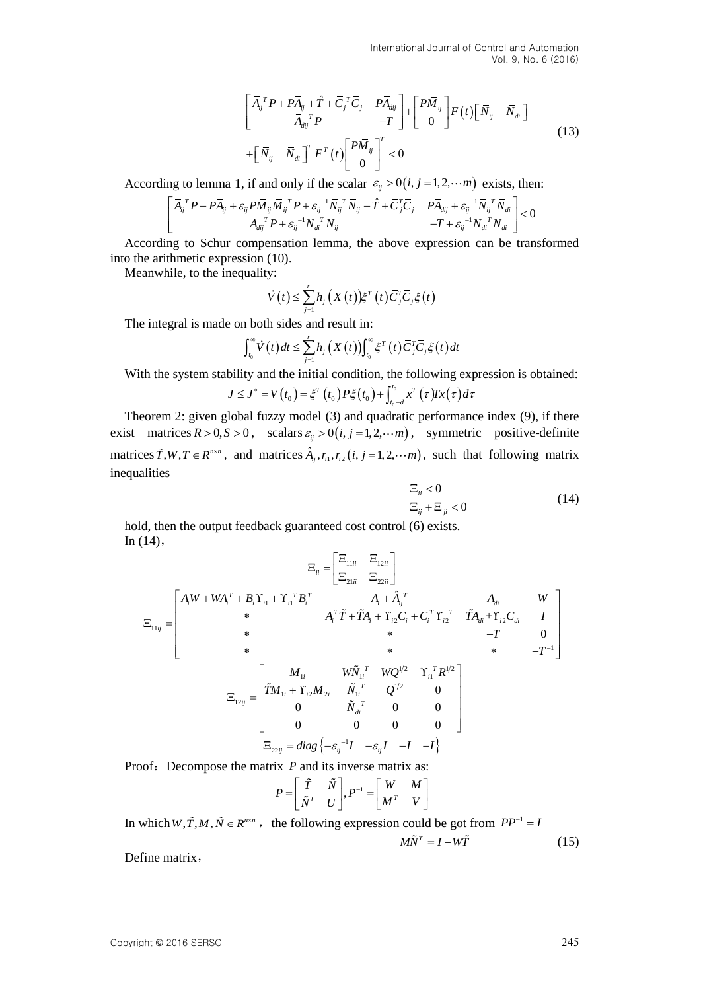$$
\begin{bmatrix}\n\overline{A}_{ij}^T P + P \overline{A}_{ij} + \hat{T} + \overline{C}_{j}^T \overline{C}_{j} & P \overline{A}_{dij} \\
\overline{A}_{dij}^T P & -T\n\end{bmatrix} + \begin{bmatrix}\nP \overline{M}_{ij}\n\end{bmatrix} F(t) \begin{bmatrix}\n\overline{N}_{ij} & \overline{N}_{di}\n\end{bmatrix} + \begin{bmatrix}\n\overline{N}_{ij} & \overline{N}_{di}\n\end{bmatrix}^T F^T(t) \begin{bmatrix}\nP \overline{M}_{ij}\n\end{bmatrix}^T < 0
$$
\n(13)

According to lemma 1, if and only if the scalar  $\varepsilon_{ij} > 0(i, j = 1, 2, \cdots m)$  exists, then:<br>  $\left[ \overline{A}_{i}^{T} P + P \overline{A}_{i} + \varepsilon_{ii} P \overline{M}_{ii} \overline{M}_{i}^{T} P + \varepsilon_{ii}^{-1} \overline{N}_{i}^{T} \overline{N}_{i} + \hat{T} + \overline{C}_{i}^{T} \overline{C}_{i} \right]$ 

\n The equation is given by:\n 
$$
\begin{aligned}\n &\text{where } \mathbf{r}_i &= \mathbf{0} \quad \mathbf{r}_j \\
 &= \mathbf{0} \quad \mathbf{r}_j \\
 &= \mathbf{0} \quad \mathbf{r}_j \\
 &= \mathbf{r}_j\n \end{aligned}
$$
\n

\n\n The equation is:\n  $\begin{bmatrix}\n \overline{A}_{ij}^T P + P \overline{A}_{ij} + \varepsilon_{ij} P \overline{M}_{ij} \overline{M}_{ij}^T P + \varepsilon_{ij}^{-1} \overline{N}_{ij}^T \overline{N}_{ij} + \hat{T} + \overline{C}_{j}^T \overline{C}_{j} & P \overline{A}_{dij} + \varepsilon_{ij}^{-1} \overline{N}_{ij}^T \overline{N}_{di} \\
 &= \mathbf{r}_j\n \end{bmatrix}\n \begin{bmatrix}\n & \overline{\mathbf{r}}_{ij} & \overline{\mathbf{r}}_{ij} \\
 & \overline{\mathbf{r}}_{ij} & \overline{\mathbf{r}}_{ij} \\
 & \overline{\mathbf{r}}_{ij} & \overline{\mathbf{r}}_{ij} & \overline{\mathbf{r}}_{ij} \\
 & \overline{\mathbf{r}}_{ij} & \overline{\mathbf{r}}_{ij} & \overline{\mathbf{r}}_{ij} & \overline{\mathbf{r}}_{ij} \\
 & \overline{\mathbf{r}}_{ij} & \overline{\mathbf{r}}_{ij} & \overline{\mathbf{r}}_{ij} & \overline{\mathbf{r}}_{ij} \\
 & \overline{\mathbf{r}}_{ij} & \overline{\mathbf{r}}_{ij} & \overline{\mathbf{r}}_{ij} & \overline{\mathbf{r}}_{ij} \\
 & \overline{\mathbf{r}}_{ij} & \overline{\mathbf{r}}_{ij} & \overline{\mathbf{r}}_{ij} & \overline{\mathbf{r}}_{ij} \\
 & \overline{\mathbf{r}}_{ij} & \overline{\mathbf{r}}_{ij} & \overline{\mathbf{r}}_{ij} & \overline{\mathbf{r}}_{ij} & \overline{\mathbf{r}}_{ij} \\
 & \overline{\mathbf{r}}_{ij} & \overline{\mathbf{r}}_{ij$ 

According to Schur compensation lemma, the above expression can be transformed into the arithmetic expression (10).

Meanwhile, to the inequality:

$$
\dot{V}(t) \leq \sum_{j=1}^r h_j\left(X(t)\right) \xi^T\left(t\right) \overline{C}_j^T \overline{C}_j \xi\left(t\right)
$$

The integral is made on both sides and result in:

n both sides and result in:  
\n
$$
\int_{t_0}^{\infty} \dot{V}(t) dt \le \sum_{j=1}^{r} h_j(X(t)) \int_{t_0}^{\infty} \xi^{T}(t) \overline{C}_j^{T} \overline{C}_j \xi(t) dt
$$

With the system stability and the initial condition, the following expression is obtained:<br>  $J \le J^* = V(t_0) = \xi^T(t_0) P \xi(t_0) + \int_{t_0-d}^{t_0} x^T(\tau) \gamma(\tau) d\tau$ 

$$
J \leq J^* = V(t_0) = \xi^T(t_0) P \xi(t_0) + \int_{t_0 - d}^{t_0} x^T(\tau) T x(\tau) d\tau
$$

Theorem 2: given global fuzzy model (3) and quadratic performance index (9), if there exist matrices  $R > 0$ ,  $S > 0$ , scalars  $\varepsilon_{ij} > 0$  (*i*, *j* = 1,2, *i*m), symmetric positive-definite matrices  $\tilde{T}$ ,  $W$ ,  $T \in R^{n \times n}$ , and matrices  $\hat{A}_{ij}$ ,  $r_{i1}$ ,  $r_{i2}$   $(i, j = 1, 2, \cdots m)$ , such that following matrix inequalities

$$
\Xi_{ii} < 0
$$
\n
$$
\Xi_{ij} + \Xi_{ji} < 0
$$
\n
$$
\tag{14}
$$

hold, then the output feedback guaranteed cost control (6) exists. In  $(14)$ ,

$$
\Xi_{ii} = \begin{bmatrix} \Xi_{11ii} & \Xi_{12ii} \\ \Xi_{21ii} & \Xi_{22i} \end{bmatrix}
$$
\n
$$
\Xi_{11ij} = \begin{bmatrix} A_i W + W A_i^T + B_i Y_{i1} + Y_{i1}^T B_i^T & A_i + \hat{A}_{ij}^T & A_i + \hat{A}_{ij}^T & A_{di} + Y_{i2} C_i + C_i^T Y_{i2}^T & T A_{di} + Y_{i2} C_{di} & I \\ * & A_i^T \tilde{T} + \tilde{T} A_i + Y_{i2} C_i + C_i^T Y_{i2}^T & T A_{di} + Y_{i2} C_{di} & I \\ * & * & -T & 0 \\ * & * & -T^{-1} \end{bmatrix}
$$
\n
$$
\Xi_{12ij} = \begin{bmatrix} M_{1i} & W \tilde{N}_{1i}^T & W Q^{1/2} & Y_{i1}^T R^{1/2} \\ \tilde{T} M_{1i} + Y_{i2} M_{2i} & \tilde{N}_{i1}^T & Q^{1/2} & 0 \\ 0 & \tilde{N}_{di}^T & 0 & 0 \\ 0 & 0 & 0 & 0 \end{bmatrix}
$$
\n
$$
\Xi_{22ij} = diag \{-\varepsilon_{ij}^{-1}I - -\varepsilon_{ij}I - I - I\}
$$

Proof: Decompose the matrix *P* and its inverse matrix as:

$$
P = \begin{bmatrix} \tilde{T} & \tilde{N} \\ \tilde{N}^T & U \end{bmatrix}, P^{-1} = \begin{bmatrix} W & M \\ M^T & V \end{bmatrix}
$$

In which  $W, \tilde{T}, M, \tilde{N} \in R^{n \times n}$ , the following expression could be got from  $PP^{-1} = I$  $M\tilde{N}^T = I - W\tilde{T}$  (15) Define matrix,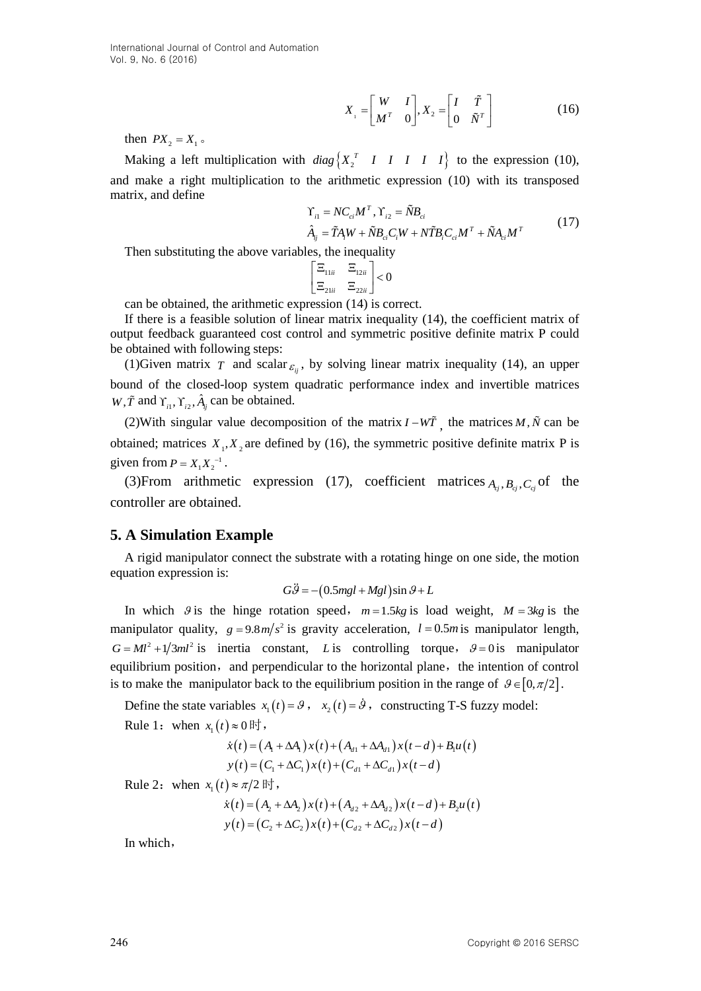$$
X_{1} = \begin{bmatrix} W & I \\ M^{T} & 0 \end{bmatrix}, X_{2} = \begin{bmatrix} I & \tilde{T} \\ 0 & \tilde{N}^{T} \end{bmatrix}
$$
 (16)

then  $PX_2 = X_1$ .

Making a left multiplication with  $diag\begin{cases} X_2^T & I & I & I & I \ I & I & I \end{cases}$  to the expression (10), and make a right multiplication to the arithmetic expression (10) with its transposed matrix, and define

$$
\begin{aligned} \Upsilon_{i1} &= NC_{ci}M^T, \Upsilon_{i2} = \tilde{N}B_{ci} \\ \hat{A}_{ij} &= \tilde{T}A_iW + \tilde{N}B_{ci}C_iW + N\tilde{T}B_iC_{ci}M^T + \tilde{N}A_{ci}M^T \end{aligned} \tag{17}
$$

Then substituting the above variables, the inequality

$$
\begin{bmatrix} \Xi_{11ii} & \Xi_{12ii} \\ \Xi_{21ii} & \Xi_{22ii} \end{bmatrix} < 0
$$

can be obtained, the arithmetic expression (14) is correct.

If there is a feasible solution of linear matrix inequality (14), the coefficient matrix of output feedback guaranteed cost control and symmetric positive definite matrix P could be obtained with following steps:

(1)Given matrix  $T$  and scalar  $_{\varepsilon_{ij}}$ , by solving linear matrix inequality (14), an upper bound of the closed-loop system quadratic performance index and invertible matrices  $W, \tilde{T}$  and  $\Upsilon_{i1}, \Upsilon_{i2}, \hat{A}_{ij}$  can be obtained.

(2) With singular value decomposition of the matrix  $I - W\tilde{T}$ , the matrices M,  $\tilde{N}$  can be obtained; matrices  $X_1, X_2$  are defined by (16), the symmetric positive definite matrix P is given from  $P = X_1 X_2^{-1}$ .

(3) From arithmetic expression (17), coefficient matrices  $A_{i,j}$ ,  $B_{i,j}$ ,  $C_{i,j}$  of the controller are obtained.

# **5. A Simulation Example**

A rigid manipulator connect the substrate with a rotating hinge on one side, the motion equation expression is:

$$
G\ddot{\theta} = -(0.5mgl + Mgl)\sin\theta + L
$$

In which  $\theta$  is the hinge rotation speed,  $m=1.5kg$  is load weight,  $M=3kg$  is the manipulator quality,  $g = 9.8 \frac{m}{s^2}$  is gravity acceleration,  $l = 0.5 \frac{m \text{ is a}}{s}$  manipulator length,  $G = Ml^2 + 1/3ml^2$  is inertia constant, *L* is controlling torque,  $\theta = 0$  is manipulator equilibrium position, and perpendicular to the horizontal plane, the intention of control is to make the manipulator back to the equilibrium position in the range of  $\theta \in [0, \pi/2]$ .

Define the state variables  $x_1(t) = \mathcal{G}$ ,  $x_2(t) = \mathcal{G}$ , constructing T-S fuzzy model: Rule 1: when  $x_1(t) \approx 0$  if  $\mathfrak{h}$ ,

$$
) \approx 0 \text{ H}^+,
$$
  
\n
$$
\dot{x}(t) = (A_1 + \Delta A_1)x(t) + (A_{d1} + \Delta A_{d1})x(t-d) + B_1u(t)
$$
  
\n
$$
y(t) = (C_1 + \Delta C_1)x(t) + (C_{d1} + \Delta C_{d1})x(t-d)
$$

Rule 2: when  $x_1(t) \approx \pi/2$  if  $\tau$ ,

$$
t) \approx \pi/2 \text{ H}^+,
$$
  
\n
$$
\dot{x}(t) = (A_2 + \Delta A_2)x(t) + (A_{d2} + \Delta A_{d2})x(t-d) + B_2u(t)
$$
  
\n
$$
y(t) = (C_2 + \Delta C_2)x(t) + (C_{d2} + \Delta C_{d2})x(t-d)
$$

In which,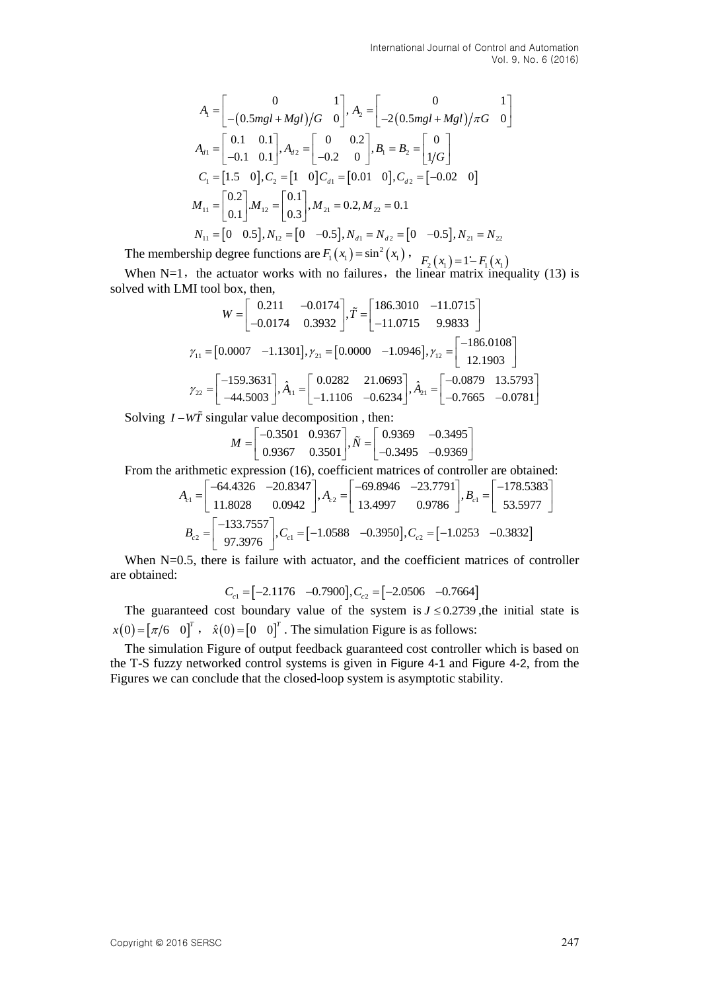$$
A_{1} = \begin{bmatrix} 0 & 1 \\ -(0.5mgl + Mgl)/G & 0 \end{bmatrix}, A_{2} = \begin{bmatrix} 0 & 1 \\ -2(0.5mgl + Mgl)/\pi G & 0 \end{bmatrix}
$$
  
\n
$$
A_{d1} = \begin{bmatrix} 0.1 & 0.1 \\ -0.1 & 0.1 \end{bmatrix}, A_{d2} = \begin{bmatrix} 0 & 0.2 \\ -0.2 & 0 \end{bmatrix}, B_{1} = B_{2} = \begin{bmatrix} 0 \\ 1/G \end{bmatrix}
$$
  
\n
$$
C_{1} = \begin{bmatrix} 1.5 & 0 \end{bmatrix}, C_{2} = \begin{bmatrix} 1 & 0 \end{bmatrix}, C_{d1} = \begin{bmatrix} 0.01 & 0 \end{bmatrix}, C_{d2} = \begin{bmatrix} -0.02 & 0 \end{bmatrix}
$$
  
\n
$$
M_{11} = \begin{bmatrix} 0.2 \\ 0.1 \end{bmatrix}, M_{12} = \begin{bmatrix} 0.1 \\ 0.3 \end{bmatrix}, M_{21} = 0.2, M_{22} = 0.1
$$
  
\n
$$
N_{11} = \begin{bmatrix} 0 & 0.5 \end{bmatrix}, N_{12} = \begin{bmatrix} 0 & -0.5 \end{bmatrix}, N_{d1} = N_{d2} = \begin{bmatrix} 0 & -0.5 \end{bmatrix}, N_{21} = N_{22}
$$

The membership degree functions are  $F_1(x_1) = \sin^2(x_1)$ ,  $F_2(x_1) = 1 - F_1(x_1)$ 

When  $N=1$ , the actuator works with no failures, the linear matrix inequality (13) is solved with LMI tool box, then, nen,<br>0.211 -0.0174  $\tilde{\tau} = \begin{bmatrix} 186.3010 & -11.0715 \end{bmatrix}$ then,<br>  $\begin{bmatrix} 0.211 & -0.0174 \\ 0.211 & \text{m} \end{bmatrix} \tilde{T} = \begin{bmatrix} 186.3010 & -11.0715 \\ 0.211 & \text{m} \end{bmatrix}$ 

M1 tool box, then,  
\n
$$
W = \begin{bmatrix} 0.211 & -0.0174 \\ -0.0174 & 0.3932 \end{bmatrix}, \tilde{T} = \begin{bmatrix} 186.3010 & -11.0715 \\ -11.0715 & 9.9833 \end{bmatrix}
$$
\n
$$
γ_{11} = \begin{bmatrix} 0.0007 & -1.1301 \end{bmatrix}, γ_{21} = \begin{bmatrix} 0.0000 & -1.0946 \end{bmatrix}, γ_{12} = \begin{bmatrix} -186.0108 \\ 12.1903 \end{bmatrix}
$$
\n
$$
γ_{22} = \begin{bmatrix} -159.3631 \\ -44.5003 \end{bmatrix}, \hat{A}_{11} = \begin{bmatrix} 0.0282 & 21.0693 \\ -1.1106 & -0.6234 \end{bmatrix}, \hat{A}_{21} = \begin{bmatrix} -0.0879 & 13.5793 \\ -0.7665 & -0.0781 \end{bmatrix}
$$

Solving 
$$
I - W\tilde{T}
$$
 singular value decomposition, then:  
\n
$$
M = \begin{bmatrix} -0.3501 & 0.9367 \\ 0.9367 & 0.3501 \end{bmatrix}, \tilde{N} = \begin{bmatrix} 0.9369 & -0.3495 \\ -0.3495 & -0.9369 \end{bmatrix}
$$

From the arithmetic expression (16), coefficient matrices of controller are obtained:

$$
\begin{bmatrix}\n0.9367 & 0.3501\n\end{bmatrix}^{1.7} \begin{bmatrix}\n-0.3495 & -0.9369\n\end{bmatrix}
$$
\narithmetic expression (16), coefficient matrices of controller are obtained:\n
$$
A_{c1} = \begin{bmatrix}\n-64.4326 & -20.8347 \\
11.8028 & 0.0942\n\end{bmatrix}, A_{c2} = \begin{bmatrix}\n-69.8946 & -23.7791 \\
13.4997 & 0.9786\n\end{bmatrix}, B_{c1} = \begin{bmatrix}\n-178.5383 \\
53.5977\n\end{bmatrix}
$$
\n
$$
B_{c2} = \begin{bmatrix}\n-133.7557 \\
97.3976\n\end{bmatrix}, C_{c1} = [-1.0588 & -0.3950], C_{c2} = [-1.0253 & -0.3832]
$$

When N=0.5, there is failure with actuator, and the coefficient matrices of controller are obtained:  $C_{c1} = [-2.1176 \quad -0.7900], C_{c2}$  $=[-2.1176 \quad -0.7900], C_{c2} = [-2.0506 \quad -0.7664]$ 

$$
C_{c1} = [-2.1176 \quad -0.7900], C_{c2} = [-2.0506 \quad -0.7664]
$$

The guaranteed cost boundary value of the system is  $J \leq 0.2739$ , the initial state is  $x(0) = [\pi/6 \ 0]^T$ ,  $\hat{x}(0) = [0 \ 0]^T$ . The simulation Figure is as follows:

The simulation Figure of output feedback guaranteed cost controller which is based on the T-S fuzzy networked control systems is given in Figure 4-1 and Figure 4-2, from the Figures we can conclude that the closed-loop system is asymptotic stability.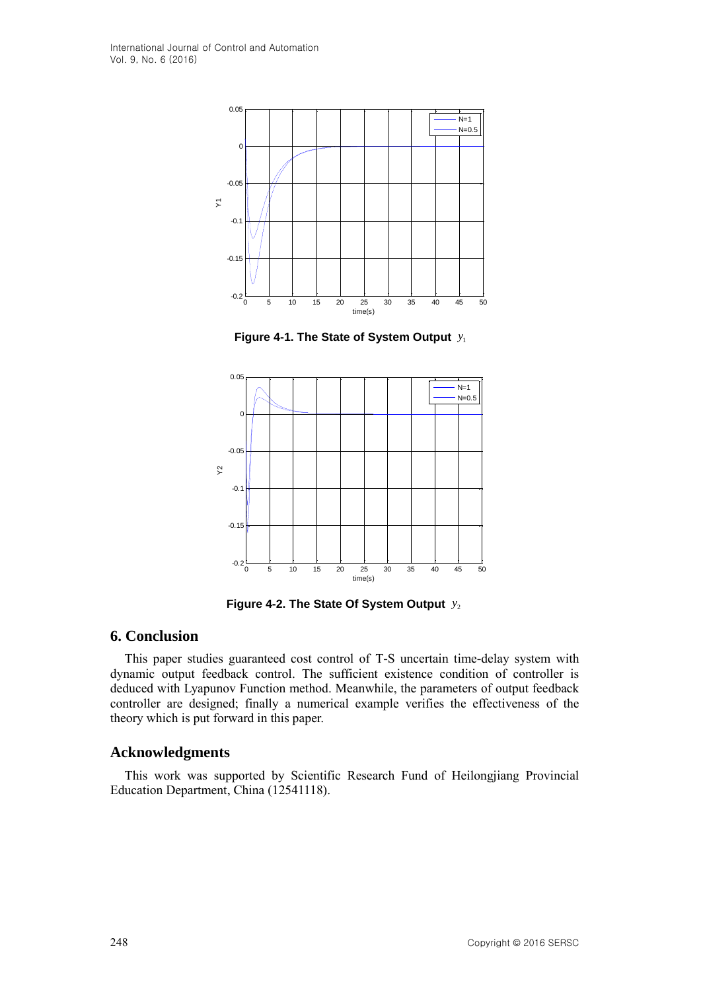

**Figure 4-1. The State of System Output**  1 *y*



**Figure 4-2. The State Of System Output**  2 *y*

### **6. Conclusion**

This paper studies guaranteed cost control of T-S uncertain time-delay system with dynamic output feedback control. The sufficient existence condition of controller is deduced with Lyapunov Function method. Meanwhile, the parameters of output feedback controller are designed; finally a numerical example verifies the effectiveness of the theory which is put forward in this paper.

### **Acknowledgments**

This work was supported by Scientific Research Fund of Heilongjiang Provincial Education Department, China (12541118).